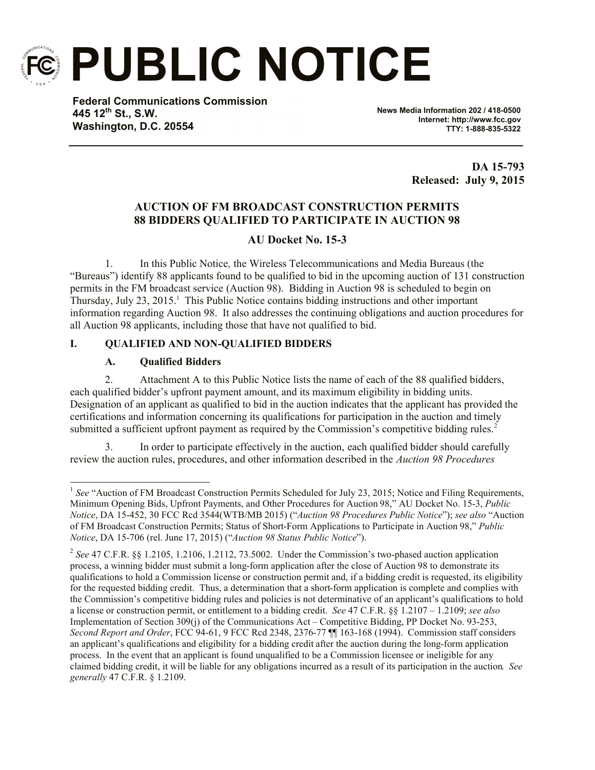

**PUBLIC NOTICE**

**Federal Communications Commission 445 12th St., S.W. Washington, D.C. 20554**

**News Media Information 202 / 418-0500 Internet: http://www.fcc.gov TTY: 1-888-835-5322**

> **DA 15-793 Released: July 9, 2015**

# **AUCTION OF FM BROADCAST CONSTRUCTION PERMITS 88 BIDDERS QUALIFIED TO PARTICIPATE IN AUCTION 98**

# **AU Docket No. 15-3**

1. In this Public Notice*,* the Wireless Telecommunications and Media Bureaus (the "Bureaus") identify 88 applicants found to be qualified to bid in the upcoming auction of 131 construction permits in the FM broadcast service (Auction 98). Bidding in Auction 98 is scheduled to begin on Thursday, July 23, 2015.<sup>1</sup> This Public Notice contains bidding instructions and other important information regarding Auction 98. It also addresses the continuing obligations and auction procedures for all Auction 98 applicants, including those that have not qualified to bid.

## **I. QUALIFIED AND NON-QUALIFIED BIDDERS**

## **A. Qualified Bidders**

2. Attachment A to this Public Notice lists the name of each of the 88 qualified bidders, each qualified bidder's upfront payment amount, and its maximum eligibility in bidding units. Designation of an applicant as qualified to bid in the auction indicates that the applicant has provided the certifications and information concerning its qualifications for participation in the auction and timely submitted a sufficient upfront payment as required by the Commission's competitive bidding rules.<sup>2</sup>

In order to participate effectively in the auction, each qualified bidder should carefully review the auction rules, procedures, and other information described in the *Auction 98 Procedures* 

<sup>&</sup>lt;sup>1</sup> See "Auction of FM Broadcast Construction Permits Scheduled for July 23, 2015; Notice and Filing Requirements, Minimum Opening Bids, Upfront Payments, and Other Procedures for Auction 98," AU Docket No. 15-3, *Public Notice*, DA 15-452, 30 FCC Rcd 3544(WTB/MB 2015) ("*Auction 98 Procedures Public Notice*"); *see also* "Auction of FM Broadcast Construction Permits; Status of Short-Form Applications to Participate in Auction 98," *Public Notice*, DA 15-706 (rel. June 17, 2015) ("*Auction 98 Status Public Notice*").

<sup>&</sup>lt;sup>2</sup> See 47 C.F.R. §§ 1.2105, 1.2106, 1.2112, 73.5002. Under the Commission's two-phased auction application process, a winning bidder must submit a long-form application after the close of Auction 98 to demonstrate its qualifications to hold a Commission license or construction permit and, if a bidding credit is requested, its eligibility for the requested bidding credit. Thus, a determination that a short-form application is complete and complies with the Commission's competitive bidding rules and policies is not determinative of an applicant's qualifications to hold a license or construction permit, or entitlement to a bidding credit. *See* 47 C.F.R. §§ 1.2107 – 1.2109; *see also*  Implementation of Section 309(j) of the Communications Act – Competitive Bidding, PP Docket No. 93-253, *Second Report and Order*, FCC 94-61, 9 FCC Rcd 2348, 2376-77 ¶¶ 163-168 (1994). Commission staff considers an applicant's qualifications and eligibility for a bidding credit after the auction during the long-form application process. In the event that an applicant is found unqualified to be a Commission licensee or ineligible for any claimed bidding credit, it will be liable for any obligations incurred as a result of its participation in the auction. *See generally* 47 C.F.R. § 1.2109.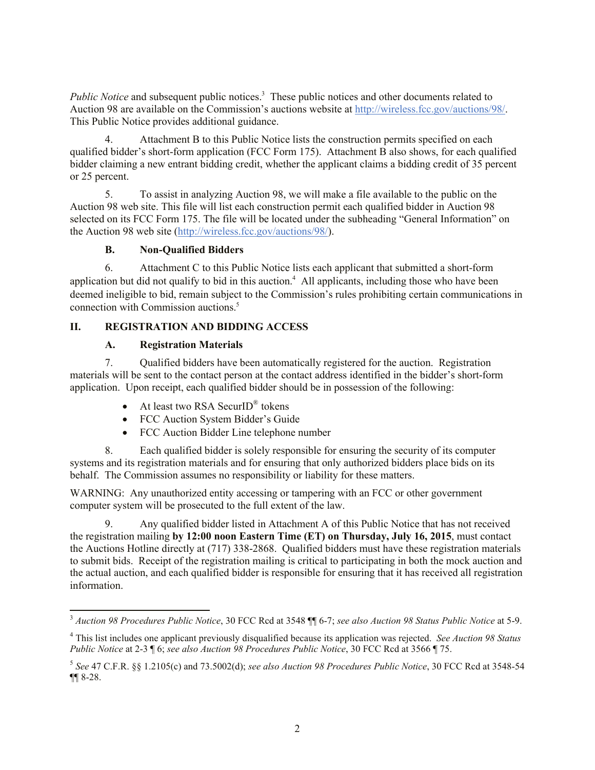Public Notice and subsequent public notices.<sup>3</sup> These public notices and other documents related to Auction 98 are available on the Commission's auctions website at http://wireless.fcc.gov/auctions/98/. This Public Notice provides additional guidance.

4. Attachment B to this Public Notice lists the construction permits specified on each qualified bidder's short-form application (FCC Form 175). Attachment B also shows, for each qualified bidder claiming a new entrant bidding credit, whether the applicant claims a bidding credit of 35 percent or 25 percent.

5. To assist in analyzing Auction 98, we will make a file available to the public on the Auction 98 web site. This file will list each construction permit each qualified bidder in Auction 98 selected on its FCC Form 175. The file will be located under the subheading "General Information" on the Auction 98 web site (http://wireless.fcc.gov/auctions/98/).

## **B. Non-Qualified Bidders**

6. Attachment C to this Public Notice lists each applicant that submitted a short-form application but did not qualify to bid in this auction. <sup>4</sup> All applicants, including those who have been deemed ineligible to bid, remain subject to the Commission's rules prohibiting certain communications in connection with Commission auctions.<sup>5</sup>

## **II. REGISTRATION AND BIDDING ACCESS**

## **A. Registration Materials**

l

7. Qualified bidders have been automatically registered for the auction. Registration materials will be sent to the contact person at the contact address identified in the bidder's short-form application. Upon receipt, each qualified bidder should be in possession of the following:

- At least two RSA SecurID<sup>®</sup> tokens
- FCC Auction System Bidder's Guide
- FCC Auction Bidder Line telephone number

8. Each qualified bidder is solely responsible for ensuring the security of its computer systems and its registration materials and for ensuring that only authorized bidders place bids on its behalf. The Commission assumes no responsibility or liability for these matters.

WARNING: Any unauthorized entity accessing or tampering with an FCC or other government computer system will be prosecuted to the full extent of the law.

9. Any qualified bidder listed in Attachment A of this Public Notice that has not received the registration mailing **by 12:00 noon Eastern Time (ET) on Thursday, July 16, 2015**, must contact the Auctions Hotline directly at (717) 338-2868. Qualified bidders must have these registration materials to submit bids. Receipt of the registration mailing is critical to participating in both the mock auction and the actual auction, and each qualified bidder is responsible for ensuring that it has received all registration information.

<sup>3</sup> *Auction 98 Procedures Public Notice*, 30 FCC Rcd at 3548 ¶¶ 6-7; *see also Auction 98 Status Public Notice* at 5-9.

<sup>4</sup> This list includes one applicant previously disqualified because its application was rejected. *See Auction 98 Status Public Notice* at 2-3 ¶ 6; *see also Auction 98 Procedures Public Notice*, 30 FCC Rcd at 3566 ¶ 75.

<sup>5</sup> *See* 47 C.F.R. §§ 1.2105(c) and 73.5002(d); *see also Auction 98 Procedures Public Notice*, 30 FCC Rcd at 3548-54 ¶¶ 8-28.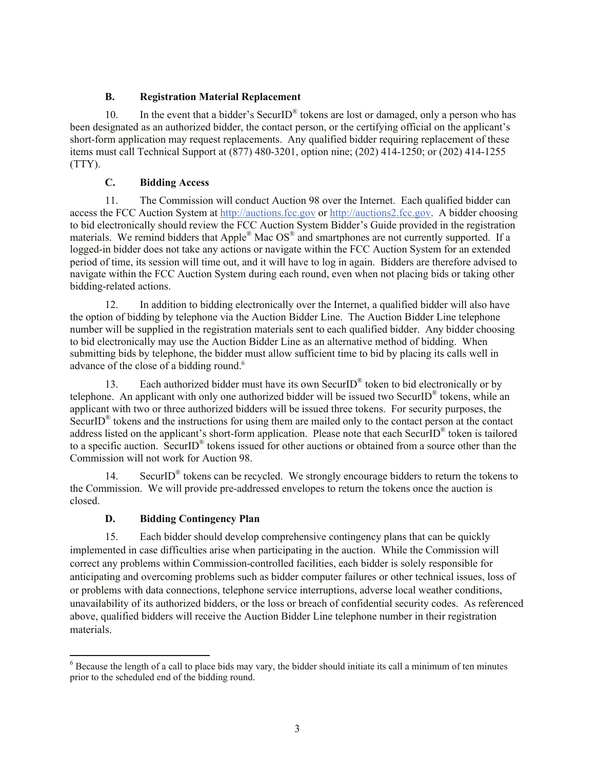## **B. Registration Material Replacement**

10. In the event that a bidder's SecurID<sup>®</sup> tokens are lost or damaged, only a person who has been designated as an authorized bidder, the contact person, or the certifying official on the applicant's short-form application may request replacements. Any qualified bidder requiring replacement of these items must call Technical Support at (877) 480-3201, option nine; (202) 414-1250; or (202) 414-1255 (TTY).

# **C. Bidding Access**

11. The Commission will conduct Auction 98 over the Internet. Each qualified bidder can access the FCC Auction System at http://auctions.fcc.gov or http://auctions2.fcc.gov. A bidder choosing to bid electronically should review the FCC Auction System Bidder's Guide provided in the registration materials. We remind bidders that Apple® Mac OS® and smartphones are not currently supported. If a logged-in bidder does not take any actions or navigate within the FCC Auction System for an extended period of time, its session will time out, and it will have to log in again. Bidders are therefore advised to navigate within the FCC Auction System during each round, even when not placing bids or taking other bidding-related actions.

12. In addition to bidding electronically over the Internet, a qualified bidder will also have the option of bidding by telephone via the Auction Bidder Line. The Auction Bidder Line telephone number will be supplied in the registration materials sent to each qualified bidder. Any bidder choosing to bid electronically may use the Auction Bidder Line as an alternative method of bidding. When submitting bids by telephone, the bidder must allow sufficient time to bid by placing its calls well in advance of the close of a bidding round.<sup>6</sup>

13. Each authorized bidder must have its own SecurID<sup>®</sup> token to bid electronically or by telephone. An applicant with only one authorized bidder will be issued two SecurID<sup>®</sup> tokens, while an applicant with two or three authorized bidders will be issued three tokens. For security purposes, the SecurID<sup>®</sup> tokens and the instructions for using them are mailed only to the contact person at the contact address listed on the applicant's short-form application. Please note that each SecurID<sup>®</sup> token is tailored to a specific auction. SecurID<sup>®</sup> tokens issued for other auctions or obtained from a source other than the Commission will not work for Auction 98.

14. SecurID<sup>®</sup> tokens can be recycled. We strongly encourage bidders to return the tokens to the Commission. We will provide pre-addressed envelopes to return the tokens once the auction is closed.

## **D. Bidding Contingency Plan**

15. Each bidder should develop comprehensive contingency plans that can be quickly implemented in case difficulties arise when participating in the auction. While the Commission will correct any problems within Commission-controlled facilities, each bidder is solely responsible for anticipating and overcoming problems such as bidder computer failures or other technical issues, loss of or problems with data connections, telephone service interruptions, adverse local weather conditions, unavailability of its authorized bidders, or the loss or breach of confidential security codes. As referenced above, qualified bidders will receive the Auction Bidder Line telephone number in their registration materials.

l <sup>6</sup> Because the length of a call to place bids may vary, the bidder should initiate its call a minimum of ten minutes prior to the scheduled end of the bidding round.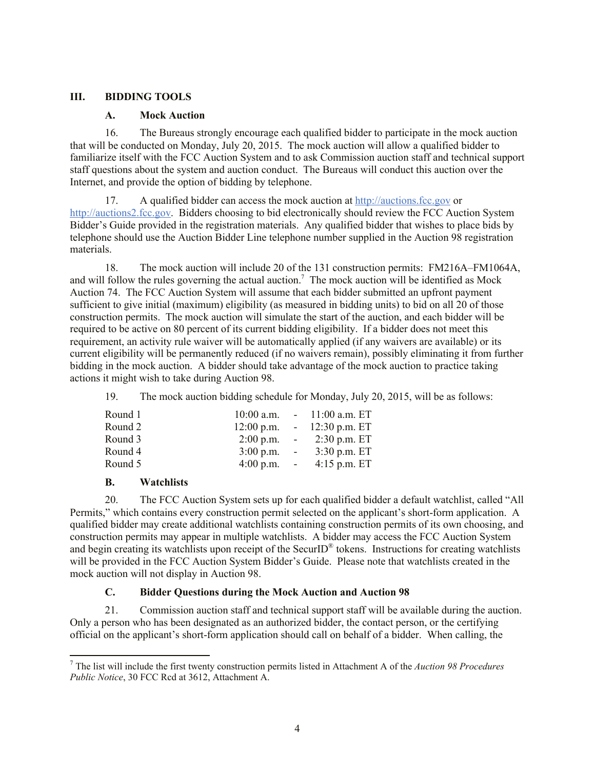## **III. BIDDING TOOLS**

#### **A. Mock Auction**

16. The Bureaus strongly encourage each qualified bidder to participate in the mock auction that will be conducted on Monday, July 20, 2015. The mock auction will allow a qualified bidder to familiarize itself with the FCC Auction System and to ask Commission auction staff and technical support staff questions about the system and auction conduct. The Bureaus will conduct this auction over the Internet, and provide the option of bidding by telephone.

17. A qualified bidder can access the mock auction at http://auctions.fcc.gov or http://auctions2.fcc.gov. Bidders choosing to bid electronically should review the FCC Auction System Bidder's Guide provided in the registration materials. Any qualified bidder that wishes to place bids by telephone should use the Auction Bidder Line telephone number supplied in the Auction 98 registration materials.

18. The mock auction will include 20 of the 131 construction permits: FM216A–FM1064A, and will follow the rules governing the actual auction.<sup>7</sup> The mock auction will be identified as Mock Auction 74. The FCC Auction System will assume that each bidder submitted an upfront payment sufficient to give initial (maximum) eligibility (as measured in bidding units) to bid on all 20 of those construction permits. The mock auction will simulate the start of the auction, and each bidder will be required to be active on 80 percent of its current bidding eligibility. If a bidder does not meet this requirement, an activity rule waiver will be automatically applied (if any waivers are available) or its current eligibility will be permanently reduced (if no waivers remain), possibly eliminating it from further bidding in the mock auction. A bidder should take advantage of the mock auction to practice taking actions it might wish to take during Auction 98.

19. The mock auction bidding schedule for Monday, July 20, 2015, will be as follows:

| Round 1 |                       |                           | $10:00$ a.m. $-11:00$ a.m. ET |
|---------|-----------------------|---------------------------|-------------------------------|
| Round 2 | $12:00$ p.m.          |                           | $-12:30 \text{ p.m. ET}$      |
| Round 3 | $2:00$ p.m.           |                           | $-2:30$ p.m. ET               |
| Round 4 | $3:00$ p.m.           | $\sim 10^{-10}$ m $^{-1}$ | $3:30$ p.m. ET                |
| Round 5 | $4:00 \text{ p.m.}$ - |                           | $4:15$ p.m. ET                |

## **B. Watchlists**

l

20. The FCC Auction System sets up for each qualified bidder a default watchlist, called "All Permits," which contains every construction permit selected on the applicant's short-form application. A qualified bidder may create additional watchlists containing construction permits of its own choosing, and construction permits may appear in multiple watchlists. A bidder may access the FCC Auction System and begin creating its watchlists upon receipt of the SecurID<sup>®</sup> tokens. Instructions for creating watchlists will be provided in the FCC Auction System Bidder's Guide. Please note that watchlists created in the mock auction will not display in Auction 98.

## **C. Bidder Questions during the Mock Auction and Auction 98**

21. Commission auction staff and technical support staff will be available during the auction. Only a person who has been designated as an authorized bidder, the contact person, or the certifying official on the applicant's short-form application should call on behalf of a bidder. When calling, the

<sup>7</sup> The list will include the first twenty construction permits listed in Attachment A of the *Auction 98 Procedures Public Notice*, 30 FCC Rcd at 3612, Attachment A.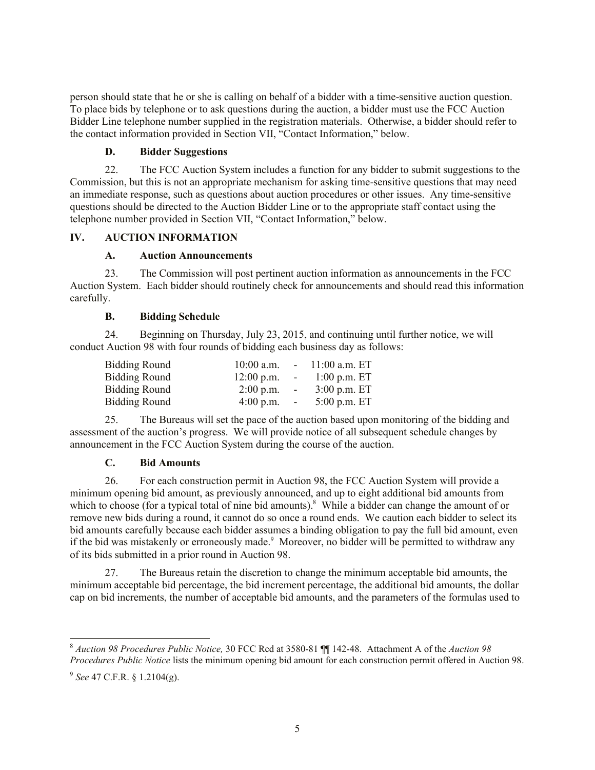person should state that he or she is calling on behalf of a bidder with a time-sensitive auction question. To place bids by telephone or to ask questions during the auction, a bidder must use the FCC Auction Bidder Line telephone number supplied in the registration materials. Otherwise, a bidder should refer to the contact information provided in Section VII, "Contact Information," below.

#### **D. Bidder Suggestions**

22. The FCC Auction System includes a function for any bidder to submit suggestions to the Commission, but this is not an appropriate mechanism for asking time-sensitive questions that may need an immediate response, such as questions about auction procedures or other issues. Any time-sensitive questions should be directed to the Auction Bidder Line or to the appropriate staff contact using the telephone number provided in Section VII, "Contact Information," below.

## **IV. AUCTION INFORMATION**

## **A. Auction Announcements**

23. The Commission will post pertinent auction information as announcements in the FCC Auction System. Each bidder should routinely check for announcements and should read this information carefully.

## **B. Bidding Schedule**

24. Beginning on Thursday, July 23, 2015, and continuing until further notice, we will conduct Auction 98 with four rounds of bidding each business day as follows:

| <b>Bidding Round</b> | $10:00$ a.m. |                | $-11:00$ a.m. ET |
|----------------------|--------------|----------------|------------------|
| <b>Bidding Round</b> | $12:00$ p.m. | $\sim$ $-$     | $1:00$ p.m. ET   |
| Bidding Round        | $2:00$ p.m.  | $\sim$ $ \sim$ | $3:00$ p.m. ET   |
| <b>Bidding Round</b> | $4:00$ p.m.  | $\sim$         | $5:00$ p.m. ET   |

25. The Bureaus will set the pace of the auction based upon monitoring of the bidding and assessment of the auction's progress. We will provide notice of all subsequent schedule changes by announcement in the FCC Auction System during the course of the auction.

## **C. Bid Amounts**

26. For each construction permit in Auction 98, the FCC Auction System will provide a minimum opening bid amount, as previously announced, and up to eight additional bid amounts from which to choose (for a typical total of nine bid amounts).<sup>8</sup> While a bidder can change the amount of or remove new bids during a round, it cannot do so once a round ends. We caution each bidder to select its bid amounts carefully because each bidder assumes a binding obligation to pay the full bid amount, even if the bid was mistakenly or erroneously made.<sup>9</sup> Moreover, no bidder will be permitted to withdraw any of its bids submitted in a prior round in Auction 98.

27. The Bureaus retain the discretion to change the minimum acceptable bid amounts, the minimum acceptable bid percentage, the bid increment percentage, the additional bid amounts, the dollar cap on bid increments, the number of acceptable bid amounts, and the parameters of the formulas used to

l <sup>8</sup> *Auction 98 Procedures Public Notice,* 30 FCC Rcd at 3580-81 ¶¶ 142-48. Attachment A of the *Auction 98 Procedures Public Notice* lists the minimum opening bid amount for each construction permit offered in Auction 98.

<sup>9</sup> *See* 47 C.F.R. § 1.2104(g).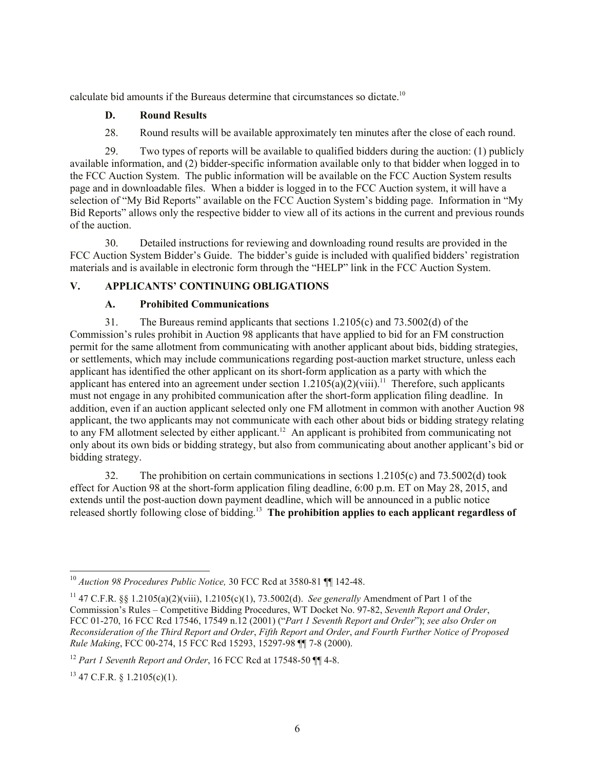calculate bid amounts if the Bureaus determine that circumstances so dictate.<sup>10</sup>

## **D. Round Results**

28. Round results will be available approximately ten minutes after the close of each round.

29. Two types of reports will be available to qualified bidders during the auction: (1) publicly available information, and (2) bidder-specific information available only to that bidder when logged in to the FCC Auction System. The public information will be available on the FCC Auction System results page and in downloadable files. When a bidder is logged in to the FCC Auction system, it will have a selection of "My Bid Reports" available on the FCC Auction System's bidding page. Information in "My Bid Reports" allows only the respective bidder to view all of its actions in the current and previous rounds of the auction.

30. Detailed instructions for reviewing and downloading round results are provided in the FCC Auction System Bidder's Guide. The bidder's guide is included with qualified bidders' registration materials and is available in electronic form through the "HELP" link in the FCC Auction System.

# **V. APPLICANTS' CONTINUING OBLIGATIONS**

## **A. Prohibited Communications**

31. The Bureaus remind applicants that sections 1.2105(c) and 73.5002(d) of the Commission's rules prohibit in Auction 98 applicants that have applied to bid for an FM construction permit for the same allotment from communicating with another applicant about bids, bidding strategies, or settlements, which may include communications regarding post-auction market structure, unless each applicant has identified the other applicant on its short-form application as a party with which the applicant has entered into an agreement under section  $1.2105(a)(2)(viii)$ .<sup>11</sup> Therefore, such applicants must not engage in any prohibited communication after the short-form application filing deadline. In addition, even if an auction applicant selected only one FM allotment in common with another Auction 98 applicant, the two applicants may not communicate with each other about bids or bidding strategy relating to any FM allotment selected by either applicant.<sup>12</sup> An applicant is prohibited from communicating not only about its own bids or bidding strategy, but also from communicating about another applicant's bid or bidding strategy.

32. The prohibition on certain communications in sections 1.2105(c) and 73.5002(d) took effect for Auction 98 at the short-form application filing deadline, 6:00 p.m. ET on May 28, 2015, and extends until the post-auction down payment deadline, which will be announced in a public notice released shortly following close of bidding. 13 **The prohibition applies to each applicant regardless of** 

l

<sup>10</sup> *Auction 98 Procedures Public Notice,* 30 FCC Rcd at 3580-81 ¶¶ 142-48.

<sup>11</sup> 47 C.F.R. §§ 1.2105(a)(2)(viii), 1.2105(c)(1), 73.5002(d). *See generally* Amendment of Part 1 of the Commission's Rules – Competitive Bidding Procedures, WT Docket No. 97-82, *Seventh Report and Order*, FCC 01-270, 16 FCC Rcd 17546, 17549 n.12 (2001) ("*Part 1 Seventh Report and Order*"); *see also Order on Reconsideration of the Third Report and Order*, *Fifth Report and Order*, *and Fourth Further Notice of Proposed Rule Making*, FCC 00-274, 15 FCC Rcd 15293, 15297-98 ¶¶ 7-8 (2000).

<sup>12</sup> *Part 1 Seventh Report and Order*, 16 FCC Rcd at 17548-50 ¶¶ 4-8.

 $13$  47 C.F.R. § 1.2105(c)(1).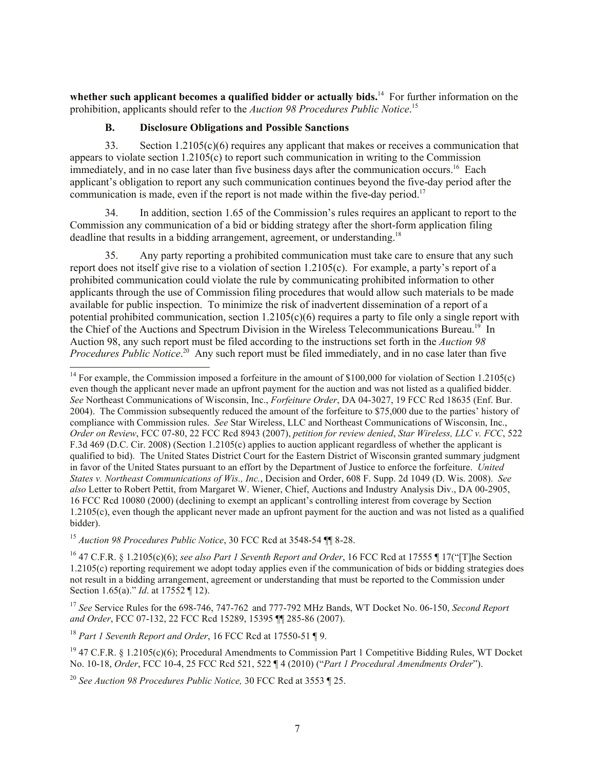whether such applicant becomes a qualified bidder or actually bids.<sup>14</sup> For further information on the prohibition, applicants should refer to the *Auction 98 Procedures Public Notice*. 15

#### **B. Disclosure Obligations and Possible Sanctions**

33. Section 1.2105(c)(6) requires any applicant that makes or receives a communication that appears to violate section  $1.2105(c)$  to report such communication in writing to the Commission immediately, and in no case later than five business days after the communication occurs.<sup>16</sup> Each applicant's obligation to report any such communication continues beyond the five-day period after the communication is made, even if the report is not made within the five-day period. 17

34. In addition, section 1.65 of the Commission's rules requires an applicant to report to the Commission any communication of a bid or bidding strategy after the short-form application filing deadline that results in a bidding arrangement, agreement, or understanding.<sup>18</sup>

35. Any party reporting a prohibited communication must take care to ensure that any such report does not itself give rise to a violation of section 1.2105(c). For example, a party's report of a prohibited communication could violate the rule by communicating prohibited information to other applicants through the use of Commission filing procedures that would allow such materials to be made available for public inspection. To minimize the risk of inadvertent dissemination of a report of a potential prohibited communication, section  $1.2105(c)(6)$  requires a party to file only a single report with the Chief of the Auctions and Spectrum Division in the Wireless Telecommunications Bureau.<sup>19</sup> In Auction 98, any such report must be filed according to the instructions set forth in the *Auction 98 Procedures Public Notice*.<sup>20</sup> Any such report must be filed immediately, and in no case later than five l

<sup>15</sup> *Auction 98 Procedures Public Notice*, 30 FCC Rcd at 3548-54 ¶¶ 8-28.

<sup>16</sup> 47 C.F.R. § 1.2105(c)(6); *see also Part 1 Seventh Report and Order*, 16 FCC Rcd at 17555 ¶ 17("[T]he Section 1.2105(c) reporting requirement we adopt today applies even if the communication of bids or bidding strategies does not result in a bidding arrangement, agreement or understanding that must be reported to the Commission under Section 1.65(a)." *Id*. at 17552 ¶ 12).

<sup>17</sup> *See* Service Rules for the 698-746, 747-762 and 777-792 MHz Bands, WT Docket No. 06-150, *Second Report and Order*, FCC 07-132, 22 FCC Rcd 15289, 15395 ¶¶ 285-86 (2007).

<sup>18</sup> *Part 1 Seventh Report and Order*, 16 FCC Rcd at 17550-51 ¶ 9.

<sup>19</sup> 47 C.F.R. § 1.2105(c)(6); Procedural Amendments to Commission Part 1 Competitive Bidding Rules, WT Docket No. 10-18, *Order*, FCC 10-4, 25 FCC Rcd 521, 522 ¶ 4 (2010) ("*Part 1 Procedural Amendments Order*").

<sup>20</sup> *See Auction 98 Procedures Public Notice,* 30 FCC Rcd at 3553 ¶ 25.

<sup>&</sup>lt;sup>14</sup> For example, the Commission imposed a forfeiture in the amount of \$100,000 for violation of Section 1.2105(c) even though the applicant never made an upfront payment for the auction and was not listed as a qualified bidder. *See* Northeast Communications of Wisconsin, Inc., *Forfeiture Order*, DA 04-3027, 19 FCC Rcd 18635 (Enf. Bur. 2004). The Commission subsequently reduced the amount of the forfeiture to \$75,000 due to the parties' history of compliance with Commission rules. *See* Star Wireless, LLC and Northeast Communications of Wisconsin, Inc., *Order on Review*, FCC 07-80, 22 FCC Rcd 8943 (2007), *petition for review denied*, *Star Wireless, LLC v. FCC*, 522 F.3d 469 (D.C. Cir. 2008) (Section 1.2105(c) applies to auction applicant regardless of whether the applicant is qualified to bid). The United States District Court for the Eastern District of Wisconsin granted summary judgment in favor of the United States pursuant to an effort by the Department of Justice to enforce the forfeiture. *United States v. Northeast Communications of Wis., Inc.*, Decision and Order, 608 F. Supp. 2d 1049 (D. Wis. 2008). *See also* Letter to Robert Pettit, from Margaret W. Wiener, Chief, Auctions and Industry Analysis Div., DA 00-2905, 16 FCC Rcd 10080 (2000) (declining to exempt an applicant's controlling interest from coverage by Section 1.2105(c), even though the applicant never made an upfront payment for the auction and was not listed as a qualified bidder).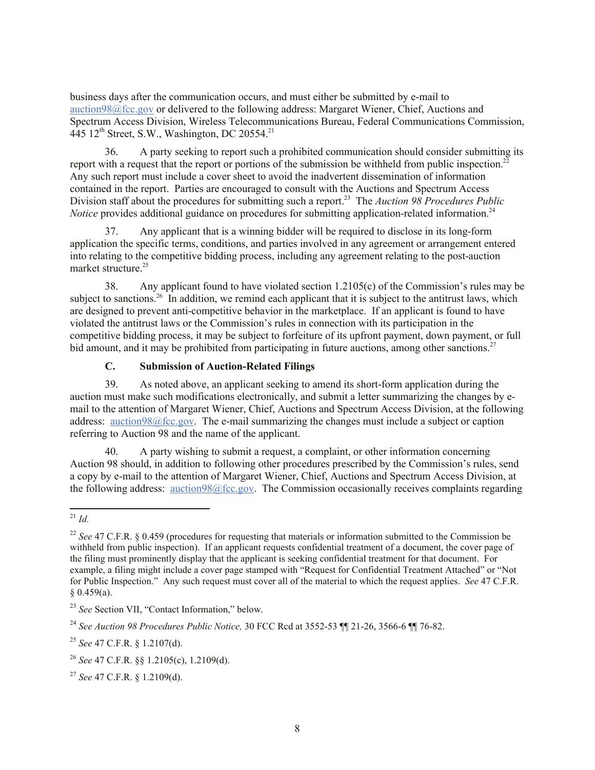business days after the communication occurs, and must either be submitted by e-mail to auction98@fcc.gov or delivered to the following address: Margaret Wiener, Chief, Auctions and Spectrum Access Division, Wireless Telecommunications Bureau, Federal Communications Commission, 445 12<sup>th</sup> Street, S.W., Washington, DC 20554.<sup>21</sup>

36. A party seeking to report such a prohibited communication should consider submitting its report with a request that the report or portions of the submission be withheld from public inspection.<sup>22</sup> Any such report must include a cover sheet to avoid the inadvertent dissemination of information contained in the report. Parties are encouraged to consult with the Auctions and Spectrum Access Division staff about the procedures for submitting such a report.<sup>23</sup> The *Auction 98 Procedures Public Notice* provides additional guidance on procedures for submitting application-related information.<sup>24</sup>

37. Any applicant that is a winning bidder will be required to disclose in its long-form application the specific terms, conditions, and parties involved in any agreement or arrangement entered into relating to the competitive bidding process, including any agreement relating to the post-auction market structure.<sup>25</sup>

38. Any applicant found to have violated section 1.2105(c) of the Commission's rules may be subject to sanctions.<sup>26</sup> In addition, we remind each applicant that it is subject to the antitrust laws, which are designed to prevent anti-competitive behavior in the marketplace. If an applicant is found to have violated the antitrust laws or the Commission's rules in connection with its participation in the competitive bidding process, it may be subject to forfeiture of its upfront payment, down payment, or full bid amount, and it may be prohibited from participating in future auctions, among other sanctions.<sup>27</sup>

## **C. Submission of Auction-Related Filings**

39. As noted above, an applicant seeking to amend its short-form application during the auction must make such modifications electronically, and submit a letter summarizing the changes by email to the attention of Margaret Wiener, Chief, Auctions and Spectrum Access Division, at the following address: auction98@fcc.gov. The e-mail summarizing the changes must include a subject or caption referring to Auction 98 and the name of the applicant.

40. A party wishing to submit a request, a complaint, or other information concerning Auction 98 should, in addition to following other procedures prescribed by the Commission's rules, send a copy by e-mail to the attention of Margaret Wiener, Chief, Auctions and Spectrum Access Division, at the following address: auction98@fcc.gov. The Commission occasionally receives complaints regarding

l <sup>21</sup> *Id.*

<sup>&</sup>lt;sup>22</sup> See 47 C.F.R. § 0.459 (procedures for requesting that materials or information submitted to the Commission be withheld from public inspection). If an applicant requests confidential treatment of a document, the cover page of the filing must prominently display that the applicant is seeking confidential treatment for that document. For example, a filing might include a cover page stamped with "Request for Confidential Treatment Attached" or "Not for Public Inspection." Any such request must cover all of the material to which the request applies. *See* 47 C.F.R.  $§ 0.459(a).$ 

<sup>23</sup> *See* Section VII, "Contact Information," below.

<sup>24</sup> *See Auction 98 Procedures Public Notice,* 30 FCC Rcd at 3552-53 ¶¶ 21-26, 3566-6 ¶¶ 76-82.

<sup>25</sup> *See* 47 C.F.R. § 1.2107(d).

<sup>26</sup> *See* 47 C.F.R. §§ 1.2105(c), 1.2109(d).

<sup>27</sup> *See* 47 C.F.R. § 1.2109(d).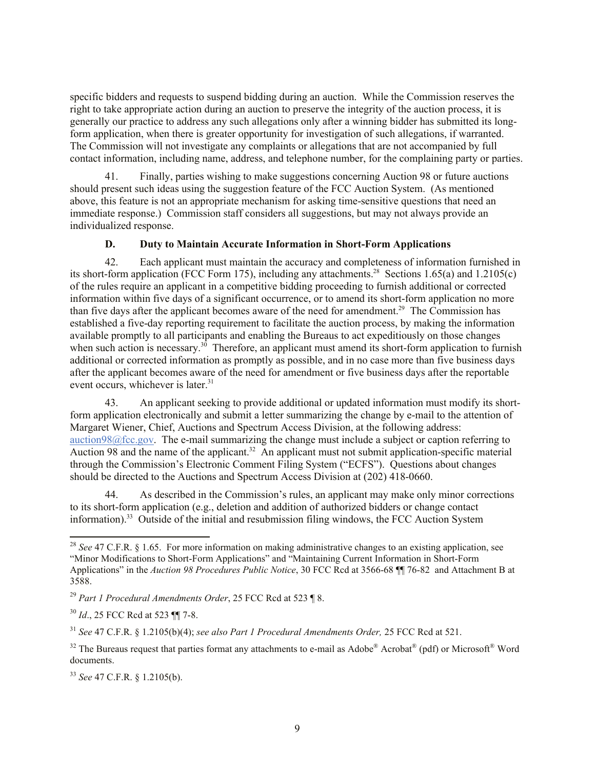specific bidders and requests to suspend bidding during an auction. While the Commission reserves the right to take appropriate action during an auction to preserve the integrity of the auction process, it is generally our practice to address any such allegations only after a winning bidder has submitted its longform application, when there is greater opportunity for investigation of such allegations, if warranted. The Commission will not investigate any complaints or allegations that are not accompanied by full contact information, including name, address, and telephone number, for the complaining party or parties.

41. Finally, parties wishing to make suggestions concerning Auction 98 or future auctions should present such ideas using the suggestion feature of the FCC Auction System. (As mentioned above, this feature is not an appropriate mechanism for asking time-sensitive questions that need an immediate response.) Commission staff considers all suggestions, but may not always provide an individualized response.

## **D. Duty to Maintain Accurate Information in Short-Form Applications**

42. Each applicant must maintain the accuracy and completeness of information furnished in its short-form application (FCC Form 175), including any attachments.<sup>28</sup> Sections 1.65(a) and 1.2105(c) of the rules require an applicant in a competitive bidding proceeding to furnish additional or corrected information within five days of a significant occurrence, or to amend its short-form application no more than five days after the applicant becomes aware of the need for amendment.<sup>29</sup> The Commission has established a five-day reporting requirement to facilitate the auction process, by making the information available promptly to all participants and enabling the Bureaus to act expeditiously on those changes when such action is necessary.<sup>30</sup> Therefore, an applicant must amend its short-form application to furnish additional or corrected information as promptly as possible, and in no case more than five business days after the applicant becomes aware of the need for amendment or five business days after the reportable event occurs, whichever is later.<sup>31</sup>

43. An applicant seeking to provide additional or updated information must modify its shortform application electronically and submit a letter summarizing the change by e-mail to the attention of Margaret Wiener, Chief, Auctions and Spectrum Access Division, at the following address: auction98@fcc.gov. The e-mail summarizing the change must include a subject or caption referring to Auction 98 and the name of the applicant.<sup>32</sup> An applicant must not submit application-specific material through the Commission's Electronic Comment Filing System ("ECFS"). Questions about changes should be directed to the Auctions and Spectrum Access Division at (202) 418-0660.

44. As described in the Commission's rules, an applicant may make only minor corrections to its short-form application (e.g., deletion and addition of authorized bidders or change contact information).<sup>33</sup> Outside of the initial and resubmission filing windows, the FCC Auction System

l

<sup>&</sup>lt;sup>28</sup> *See* 47 C.F.R. § 1.65. For more information on making administrative changes to an existing application, see "Minor Modifications to Short-Form Applications" and "Maintaining Current Information in Short-Form Applications" in the *Auction 98 Procedures Public Notice*, 30 FCC Rcd at 3566-68 ¶¶ 76-82 and Attachment B at 3588.

<sup>29</sup> *Part 1 Procedural Amendments Order*, 25 FCC Rcd at 523 ¶ 8.

<sup>30</sup> *Id*., 25 FCC Rcd at 523 ¶¶ 7-8.

<sup>31</sup> *See* 47 C.F.R. § 1.2105(b)(4); *see also Part 1 Procedural Amendments Order,* 25 FCC Rcd at 521.

<sup>&</sup>lt;sup>32</sup> The Bureaus request that parties format any attachments to e-mail as Adobe® Acrobat<sup>®</sup> (pdf) or Microsoft<sup>®</sup> Word documents.

<sup>33</sup> *See* 47 C.F.R. § 1.2105(b).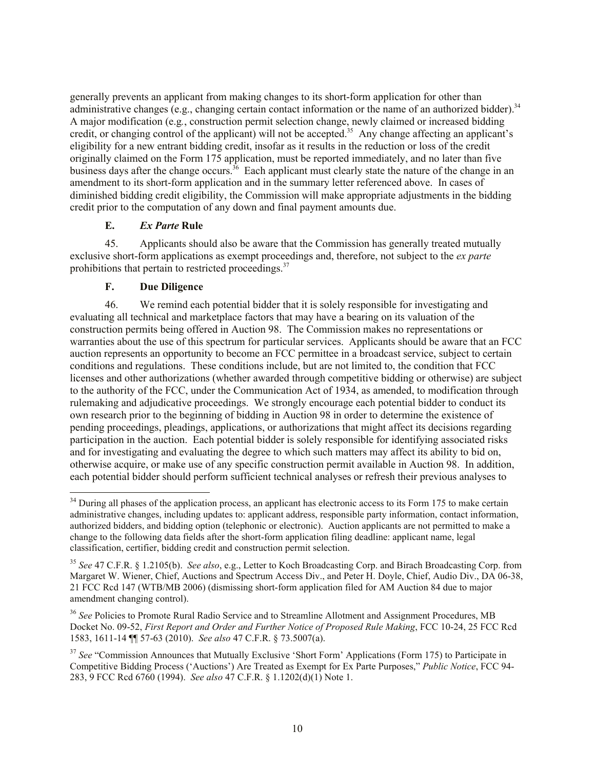generally prevents an applicant from making changes to its short-form application for other than administrative changes (e.g., changing certain contact information or the name of an authorized bidder).<sup>34</sup> A major modification (e.g*.*, construction permit selection change, newly claimed or increased bidding credit, or changing control of the applicant) will not be accepted.<sup>35</sup> Any change affecting an applicant's eligibility for a new entrant bidding credit, insofar as it results in the reduction or loss of the credit originally claimed on the Form 175 application, must be reported immediately, and no later than five business days after the change occurs.<sup>36</sup> Each applicant must clearly state the nature of the change in an amendment to its short-form application and in the summary letter referenced above. In cases of diminished bidding credit eligibility, the Commission will make appropriate adjustments in the bidding credit prior to the computation of any down and final payment amounts due.

## **E.** *Ex Parte* **Rule**

45. Applicants should also be aware that the Commission has generally treated mutually exclusive short-form applications as exempt proceedings and, therefore, not subject to the *ex parte* prohibitions that pertain to restricted proceedings.<sup>37</sup>

## **F. Due Diligence**

l

46. We remind each potential bidder that it is solely responsible for investigating and evaluating all technical and marketplace factors that may have a bearing on its valuation of the construction permits being offered in Auction 98. The Commission makes no representations or warranties about the use of this spectrum for particular services. Applicants should be aware that an FCC auction represents an opportunity to become an FCC permittee in a broadcast service, subject to certain conditions and regulations. These conditions include, but are not limited to, the condition that FCC licenses and other authorizations (whether awarded through competitive bidding or otherwise) are subject to the authority of the FCC, under the Communication Act of 1934, as amended, to modification through rulemaking and adjudicative proceedings. We strongly encourage each potential bidder to conduct its own research prior to the beginning of bidding in Auction 98 in order to determine the existence of pending proceedings, pleadings, applications, or authorizations that might affect its decisions regarding participation in the auction. Each potential bidder is solely responsible for identifying associated risks and for investigating and evaluating the degree to which such matters may affect its ability to bid on, otherwise acquire, or make use of any specific construction permit available in Auction 98. In addition, each potential bidder should perform sufficient technical analyses or refresh their previous analyses to

<sup>&</sup>lt;sup>34</sup> During all phases of the application process, an applicant has electronic access to its Form 175 to make certain administrative changes, including updates to: applicant address, responsible party information, contact information, authorized bidders, and bidding option (telephonic or electronic).Auction applicants are not permitted to make a change to the following data fields after the short-form application filing deadline: applicant name, legal classification, certifier, bidding credit and construction permit selection.

<sup>35</sup> *See* 47 C.F.R. § 1.2105(b). *See also*, e.g., Letter to Koch Broadcasting Corp. and Birach Broadcasting Corp. from Margaret W. Wiener, Chief, Auctions and Spectrum Access Div., and Peter H. Doyle, Chief, Audio Div., DA 06-38, 21 FCC Rcd 147 (WTB/MB 2006) (dismissing short-form application filed for AM Auction 84 due to major amendment changing control).

<sup>&</sup>lt;sup>36</sup> See Policies to Promote Rural Radio Service and to Streamline Allotment and Assignment Procedures, MB Docket No. 09-52, *First Report and Order and Further Notice of Proposed Rule Making*, FCC 10-24, 25 FCC Rcd 1583, 1611-14 ¶¶ 57-63 (2010). *See also* 47 C.F.R. § 73.5007(a).

<sup>&</sup>lt;sup>37</sup> See "Commission Announces that Mutually Exclusive 'Short Form' Applications (Form 175) to Participate in Competitive Bidding Process ('Auctions') Are Treated as Exempt for Ex Parte Purposes," *Public Notice*, FCC 94- 283, 9 FCC Rcd 6760 (1994). *See also* 47 C.F.R. § 1.1202(d)(1) Note 1.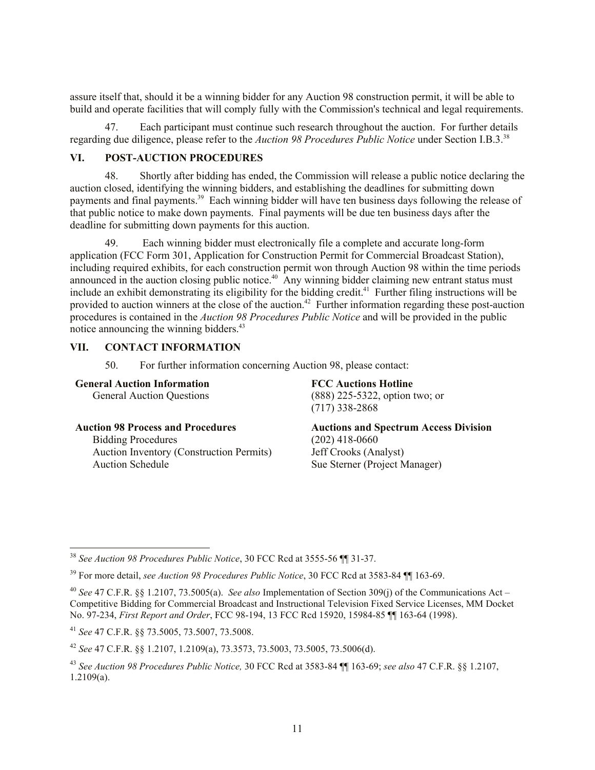assure itself that, should it be a winning bidder for any Auction 98 construction permit, it will be able to build and operate facilities that will comply fully with the Commission's technical and legal requirements.

47. Each participant must continue such research throughout the auction. For further details regarding due diligence, please refer to the *Auction 98 Procedures Public Notice* under Section I.B.3. 38

#### **VI. POST-AUCTION PROCEDURES**

48. Shortly after bidding has ended, the Commission will release a public notice declaring the auction closed, identifying the winning bidders, and establishing the deadlines for submitting down payments and final payments.<sup>39</sup> Each winning bidder will have ten business days following the release of that public notice to make down payments. Final payments will be due ten business days after the deadline for submitting down payments for this auction.

49. Each winning bidder must electronically file a complete and accurate long-form application (FCC Form 301, Application for Construction Permit for Commercial Broadcast Station), including required exhibits, for each construction permit won through Auction 98 within the time periods announced in the auction closing public notice.<sup>40</sup> Any winning bidder claiming new entrant status must include an exhibit demonstrating its eligibility for the bidding credit.<sup>41</sup> Further filing instructions will be provided to auction winners at the close of the auction.<sup>42</sup> Further information regarding these post-auction procedures is contained in the *Auction 98 Procedures Public Notice* and will be provided in the public notice announcing the winning bidders. $43$ 

## **VII. CONTACT INFORMATION**

50. For further information concerning Auction 98, please contact:

#### **General Auction Information**

l

General Auction Questions

#### **Auction 98 Process and Procedures**

Bidding Procedures Auction Inventory (Construction Permits) Auction Schedule

**FCC Auctions Hotline**  (888) 225-5322, option two; or (717) 338-2868

**Auctions and Spectrum Access Division** (202) 418-0660 Jeff Crooks (Analyst) Sue Sterner (Project Manager)

<sup>38</sup> *See Auction 98 Procedures Public Notice*, 30 FCC Rcd at 3555-56 ¶¶ 31-37.

<sup>39</sup> For more detail, *see Auction 98 Procedures Public Notice*, 30 FCC Rcd at 3583-84 ¶¶ 163-69.

<sup>40</sup> *See* 47 C.F.R. §§ 1.2107, 73.5005(a). *See also* Implementation of Section 309(j) of the Communications Act – Competitive Bidding for Commercial Broadcast and Instructional Television Fixed Service Licenses, MM Docket No. 97-234, *First Report and Order*, FCC 98-194, 13 FCC Rcd 15920, 15984-85 ¶¶ 163-64 (1998).

<sup>41</sup> *See* 47 C.F.R. §§ 73.5005, 73.5007, 73.5008.

<sup>42</sup> *See* 47 C.F.R. §§ 1.2107, 1.2109(a), 73.3573, 73.5003, 73.5005, 73.5006(d).

<sup>43</sup> *See Auction 98 Procedures Public Notice,* 30 FCC Rcd at 3583-84 ¶¶ 163-69; *see also* 47 C.F.R. §§ 1.2107, 1.2109(a).